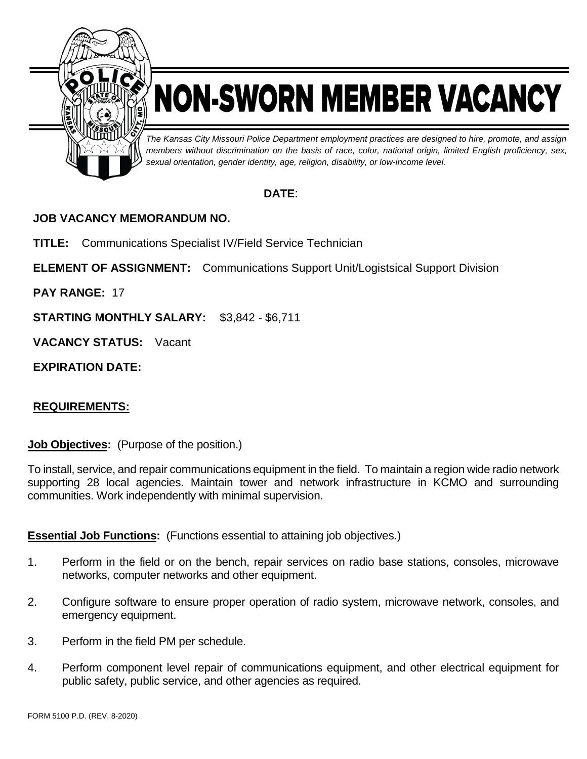

# NON-SWORN MEMBER VACANCY

*The Kansas City Missouri Police Department employment practices are designed to hire, promote, and assign members without discrimination on the basis of race, color, national origin, limited English proficiency, sex, sexual orientation, gender identity, age, religion, disability, or low-income level.*

## **DATE**:

## **JOB VACANCY MEMORANDUM NO.**

**TITLE:** Communications Specialist IV/Field Service Technician

**ELEMENT OF ASSIGNMENT:** Communications Support Unit/Logistsical Support Division

**PAY RANGE:** 17

**STARTING MONTHLY SALARY:** \$3,842 - \$6,711

**VACANCY STATUS:** Vacant

**EXPIRATION DATE:**

## **REQUIREMENTS:**

**Job Objectives:** (Purpose of the position.)

To install, service, and repair communications equipment in the field. To maintain a region wide radio network supporting 28 local agencies. Maintain tower and network infrastructure in KCMO and surrounding communities. Work independently with minimal supervision.

#### **Essential Job Functions:** (Functions essential to attaining job objectives.)

- 1. Perform in the field or on the bench, repair services on radio base stations, consoles, microwave networks, computer networks and other equipment.
- 2. Configure software to ensure proper operation of radio system, microwave network, consoles, and emergency equipment.
- 3. Perform in the field PM per schedule.
- 4. Perform component level repair of communications equipment, and other electrical equipment for public safety, public service, and other agencies as required.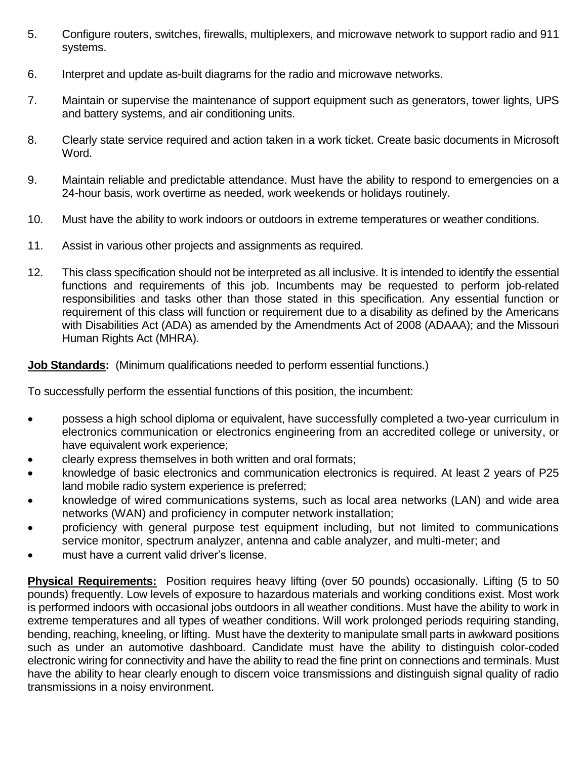- 5. Configure routers, switches, firewalls, multiplexers, and microwave network to support radio and 911 systems.
- 6. Interpret and update as-built diagrams for the radio and microwave networks.
- 7. Maintain or supervise the maintenance of support equipment such as generators, tower lights, UPS and battery systems, and air conditioning units.
- 8. Clearly state service required and action taken in a work ticket. Create basic documents in Microsoft Word.
- 9. Maintain reliable and predictable attendance. Must have the ability to respond to emergencies on a 24-hour basis, work overtime as needed, work weekends or holidays routinely.
- 10. Must have the ability to work indoors or outdoors in extreme temperatures or weather conditions.
- 11. Assist in various other projects and assignments as required.
- 12. This class specification should not be interpreted as all inclusive. It is intended to identify the essential functions and requirements of this job. Incumbents may be requested to perform job-related responsibilities and tasks other than those stated in this specification. Any essential function or requirement of this class will function or requirement due to a disability as defined by the Americans with Disabilities Act (ADA) as amended by the Amendments Act of 2008 (ADAAA); and the Missouri Human Rights Act (MHRA).

#### **Job Standards:** (Minimum qualifications needed to perform essential functions.)

To successfully perform the essential functions of this position, the incumbent:

- possess a high school diploma or equivalent, have successfully completed a two-year curriculum in electronics communication or electronics engineering from an accredited college or university, or have equivalent work experience;
- clearly express themselves in both written and oral formats;
- knowledge of basic electronics and communication electronics is required. At least 2 years of P25 land mobile radio system experience is preferred;
- knowledge of wired communications systems, such as local area networks (LAN) and wide area networks (WAN) and proficiency in computer network installation;
- proficiency with general purpose test equipment including, but not limited to communications service monitor, spectrum analyzer, antenna and cable analyzer, and multi-meter; and
- must have a current valid driver's license.

**Physical Requirements:** Position requires heavy lifting (over 50 pounds) occasionally. Lifting (5 to 50 pounds) frequently. Low levels of exposure to hazardous materials and working conditions exist. Most work is performed indoors with occasional jobs outdoors in all weather conditions. Must have the ability to work in extreme temperatures and all types of weather conditions. Will work prolonged periods requiring standing, bending, reaching, kneeling, or lifting. Must have the dexterity to manipulate small parts in awkward positions such as under an automotive dashboard. Candidate must have the ability to distinguish color-coded electronic wiring for connectivity and have the ability to read the fine print on connections and terminals. Must have the ability to hear clearly enough to discern voice transmissions and distinguish signal quality of radio transmissions in a noisy environment.